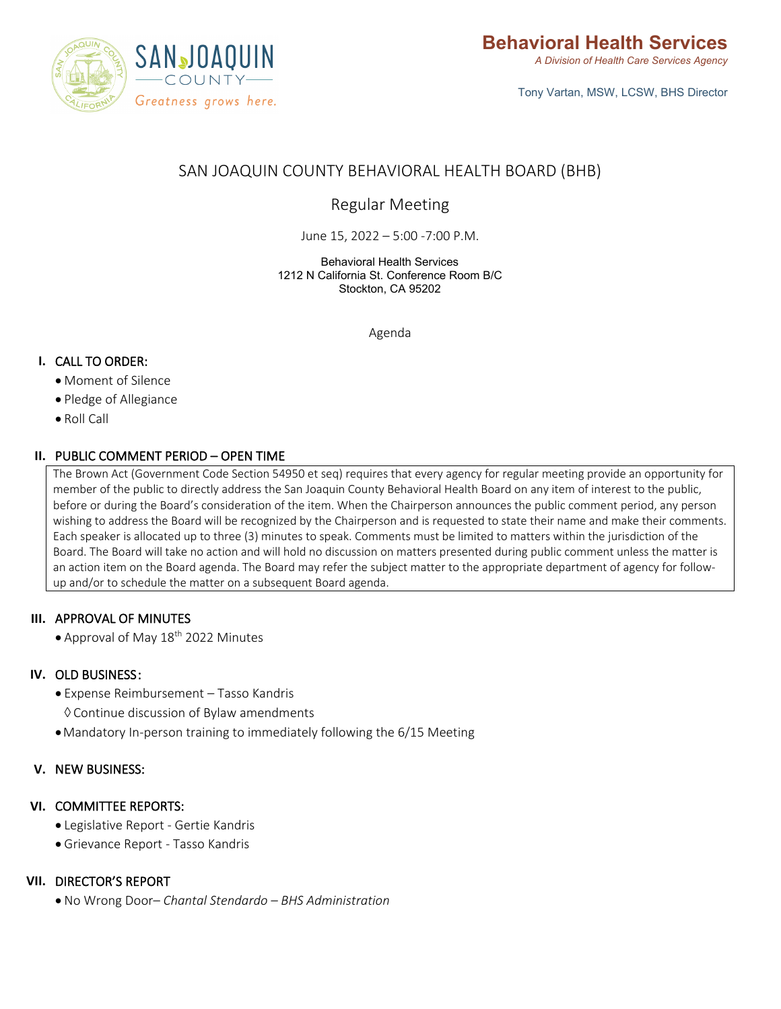

Tony Vartan, MSW, LCSW, BHS Director

# SAN JOAQUIN COUNTY BEHAVIORAL HEALTH BOARD (BHB)

Regular Meeting

June 15, 2022 – 5:00 -7:00 P.M.

Behavioral Health Services 1212 N California St. Conference Room B/C Stockton, CA 95202

Agenda

# **I.** CALL TO ORDER:

- Moment of Silence
- Pledge of Allegiance
- Roll Call

# **II.** PUBLIC COMMENT PERIOD – OPEN TIME

The Brown Act (Government Code Section 54950 et seq) requires that every agency for regular meeting provide an opportunity for member of the public to directly address the San Joaquin County Behavioral Health Board on any item of interest to the public, before or during the Board's consideration of the item. When the Chairperson announces the public comment period, any person wishing to address the Board will be recognized by the Chairperson and is requested to state their name and make their comments. Each speaker is allocated up to three (3) minutes to speak. Comments must be limited to matters within the jurisdiction of the Board. The Board will take no action and will hold no discussion on matters presented during public comment unless the matter is an action item on the Board agenda. The Board may refer the subject matter to the appropriate department of agency for followup and/or to schedule the matter on a subsequent Board agenda.

# **III.** APPROVAL OF MINUTES

• Approval of May 18<sup>th</sup> 2022 Minutes

#### **IV.** OLD BUSINESS :

- Expense Reimbursement Tasso Kandris
	- ◊ Continue discussion of Bylaw amendments
- •Mandatory In-person training to immediately following the 6/15 Meeting

#### **V.** NEW BUSINESS:

#### **VI.** COMMITTEE REPORTS:

- Legislative Report Gertie Kandris
- Grievance Report Tasso Kandris

#### **VII.** DIRECTOR'S REPORT

• No Wrong Door– *Chantal Stendardo – BHS Administration*